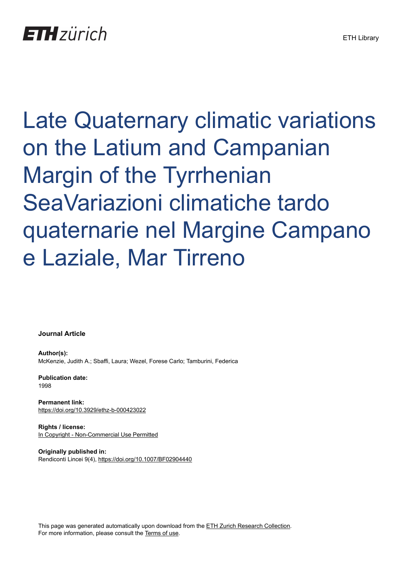Late Quaternary climatic variations on the Latium and Campanian Margin of the Tyrrhenian SeaVariazioni climatiche tardo quaternarie nel Margine Campano e Laziale, Mar Tirreno

**Journal Article**

**Author(s):** McKenzie, Judith A.; Sbaffi, Laura; Wezel, Forese Carlo; Tamburini, Federica

**Publication date:** 1998

**Permanent link:** <https://doi.org/10.3929/ethz-b-000423022>

**Rights / license:** [In Copyright - Non-Commercial Use Permitted](http://rightsstatements.org/page/InC-NC/1.0/)

**Originally published in:** Rendiconti Lincei 9(4), <https://doi.org/10.1007/BF02904440>

This page was generated automatically upon download from the [ETH Zurich Research Collection.](https://www.research-collection.ethz.ch) For more information, please consult the [Terms of use](https://www.research-collection.ethz.ch/terms-of-use).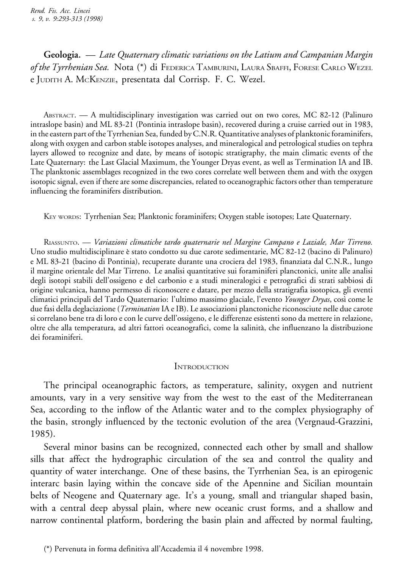**Geologia.** — *Late Quaternary climatic variations on the Latium and Campanian Margin of the Tyrrhenian Sea.* Nota (\*) di Federica Tamburini, Laura Sbaffi, Forese Carlo Wezel e JUDITH A. McKENZIE, presentata dal Corrisp. F. C. Wezel.

Abstract. — A multidisciplinary investigation was carried out on two cores, MC 82-12 (Palinuro intraslope basin) and ML 83-21 (Pontinia intraslope basin), recovered during a cruise carried out in 1983, in the eastern part of the Tyrrhenian Sea, funded by C.N.R. Quantitative analyses of planktonic foraminifers, along with oxygen and carbon stable isotopes analyses, and mineralogical and petrological studies on tephra layers allowed to recognize and date, by means of isotopic stratigraphy, the main climatic events of the Late Quaternary: the Last Glacial Maximum, the Younger Dryas event, as well as Termination IA and IB. The planktonic assemblages recognized in the two cores correlate well between them and with the oxygen isotopic signal, even if there are some discrepancies, related to oceanographic factors other than temperature influencing the foraminifers distribution.

Key words: Tyrrhenian Sea; Planktonic foraminifers; Oxygen stable isotopes; Late Quaternary.

Riassunto. — *Variazioni climatiche tardo quaternarie nel Margine Campano e Laziale, Mar Tirreno.* Uno studio multidisciplinare è stato condotto su due carote sedimentarie, MC 82-12 (bacino di Palinuro) e ML 83-21 (bacino di Pontinia), recuperate durante una crociera del 1983, finanziata dal C.N.R., lungo il margine orientale del Mar Tirreno. Le analisi quantitative sui foraminiferi planctonici, unite alle analisi degli isotopi stabili dell'ossigeno e del carbonio e a studi mineralogici e petrografici di strati sabbiosi di origine vulcanica, hanno permesso di riconoscere e datare, per mezzo della stratigrafia isotopica, gli eventi climatici principali del Tardo Quaternario: l'ultimo massimo glaciale, l'evento Younger Dryas, così come le due fasi della deglaciazione (*Termination* IA e IB). Le associazioni planctoniche riconosciute nelle due carote si correlano bene tra di loro e con le curve dell'ossigeno, e le differenze esistenti sono da mettere in relazione, oltre che alla temperatura, ad altri fattori oceanografici, come la salinita, che influenzano la distribuzione ` dei foraminiferi.

# **INTRODUCTION**

The principal oceanographic factors, as temperature, salinity, oxygen and nutrient amounts, vary in a very sensitive way from the west to the east of the Mediterranean Sea, according to the inflow of the Atlantic water and to the complex physiography of the basin, strongly influenced by the tectonic evolution of the area (Vergnaud-Grazzini, 1985).

Several minor basins can be recognized, connected each other by small and shallow sills that affect the hydrographic circulation of the sea and control the quality and quantity of water interchange. One of these basins, the Tyrrhenian Sea, is an epirogenic interarc basin laying within the concave side of the Apennine and Sicilian mountain belts of Neogene and Quaternary age. It's a young, small and triangular shaped basin, with a central deep abyssal plain, where new oceanic crust forms, and a shallow and narrow continental platform, bordering the basin plain and affected by normal faulting,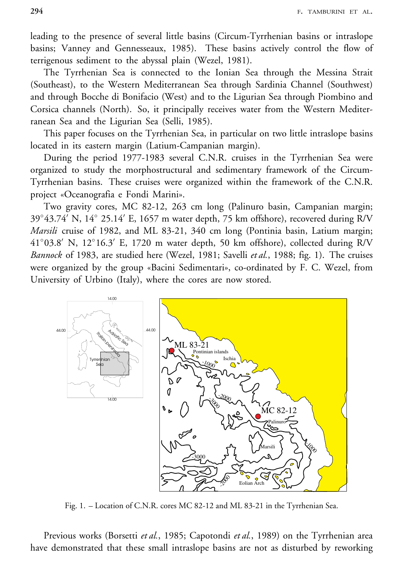leading to the presence of several little basins (Circum-Tyrrhenian basins or intraslope basins; Vanney and Gennesseaux, 1985). These basins actively control the flow of terrigenous sediment to the abyssal plain (Wezel, 1981).

The Tyrrhenian Sea is connected to the Ionian Sea through the Messina Strait (Southeast), to the Western Mediterranean Sea through Sardinia Channel (Southwest) and through Bocche di Bonifacio (West) and to the Ligurian Sea through Piombino and Corsica channels (North). So, it principally receives water from the Western Mediterranean Sea and the Ligurian Sea (Selli, 1985).

This paper focuses on the Tyrrhenian Sea, in particular on two little intraslope basins located in its eastern margin (Latium-Campanian margin).

During the period 1977-1983 several C.N.R. cruises in the Tyrrhenian Sea were organized to study the morphostructural and sedimentary framework of the Circum-Tyrrhenian basins. These cruises were organized within the framework of the C.N.R. project «Oceanografia e Fondi Marini».

Two gravity cores, MC 82-12, 263 cm long (Palinuro basin, Campanian margin; 39◦ 43.74 N, 14◦ 25.14 E, 1657 m water depth, 75 km offshore), recovered during R/V *Marsili* cruise of 1982, and ML 83-21, 340 cm long (Pontinia basin, Latium margin; 41◦ 03.8 N, 12◦ 16.3 E, 1720 m water depth, 50 km offshore), collected during R/V *Bannock* of 1983, are studied here (Wezel, 1981; Savelli *et al.*, 1988; fig. 1). The cruises were organized by the group «Bacini Sedimentari», co-ordinated by F. C. Wezel, from University of Urbino (Italy), where the cores are now stored.



Fig. 1. – Location of C.N.R. cores MC 82-12 and ML 83-21 in the Tyrrhenian Sea.

Previous works (Borsetti *et al.*, 1985; Capotondi *et al.*, 1989) on the Tyrrhenian area have demonstrated that these small intraslope basins are not as disturbed by reworking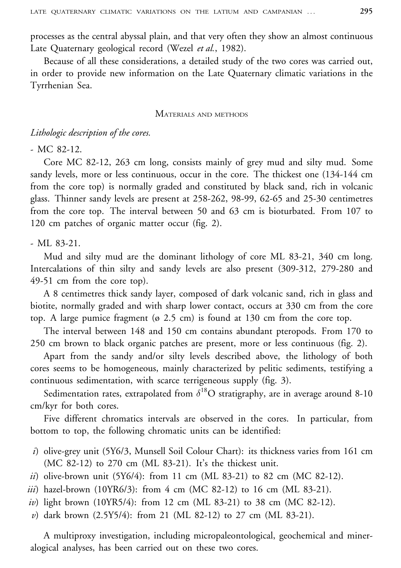processes as the central abyssal plain, and that very often they show an almost continuous Late Quaternary geological record (Wezel *et al.*, 1982).

Because of all these considerations, a detailed study of the two cores was carried out, in order to provide new information on the Late Quaternary climatic variations in the Tyrrhenian Sea.

# Materials and methods

*Lithologic description of the cores.*

# - MC 82-12.

Core MC 82-12, 263 cm long, consists mainly of grey mud and silty mud. Some sandy levels, more or less continuous, occur in the core. The thickest one (134-144 cm from the core top) is normally graded and constituted by black sand, rich in volcanic glass. Thinner sandy levels are present at 258-262, 98-99, 62-65 and 25-30 centimetres from the core top. The interval between 50 and 63 cm is bioturbated. From 107 to 120 cm patches of organic matter occur (fig. 2).

# - ML 83-21.

Mud and silty mud are the dominant lithology of core ML 83-21, 340 cm long. Intercalations of thin silty and sandy levels are also present (309-312, 279-280 and 49-51 cm from the core top).

A 8 centimetres thick sandy layer, composed of dark volcanic sand, rich in glass and biotite, normally graded and with sharp lower contact, occurs at 330 cm from the core top. A large pumice fragment (ø 2.5 cm) is found at 130 cm from the core top.

The interval between 148 and 150 cm contains abundant pteropods. From 170 to 250 cm brown to black organic patches are present, more or less continuous (fig. 2).

Apart from the sandy and/or silty levels described above, the lithology of both cores seems to be homogeneous, mainly characterized by pelitic sediments, testifying a continuous sedimentation, with scarce terrigeneous supply (fig. 3).

Sedimentation rates, extrapolated from  $\delta^{18}O$  stratigraphy, are in average around 8-10 cm/kyr for both cores.

Five different chromatics intervals are observed in the cores. In particular, from bottom to top, the following chromatic units can be identified:

- $i)$  olive-grey unit (5Y6/3, Munsell Soil Colour Chart): its thickness varies from 161 cm (MC 82-12) to 270 cm (ML 83-21). It's the thickest unit.
- *ii*) olive-brown unit (5Y6/4): from 11 cm (ML 83-21) to 82 cm (MC 82-12).
- $iii)$  hazel-brown (10YR6/3): from 4 cm (MC 82-12) to 16 cm (ML 83-21).
- $iv)$  light brown (10YR5/4): from 12 cm (ML 83-21) to 38 cm (MC 82-12).
- v) dark brown (2.5Y5/4): from 21 (ML 82-12) to 27 cm (ML 83-21).

A multiproxy investigation, including micropaleontological, geochemical and mineralogical analyses, has been carried out on these two cores.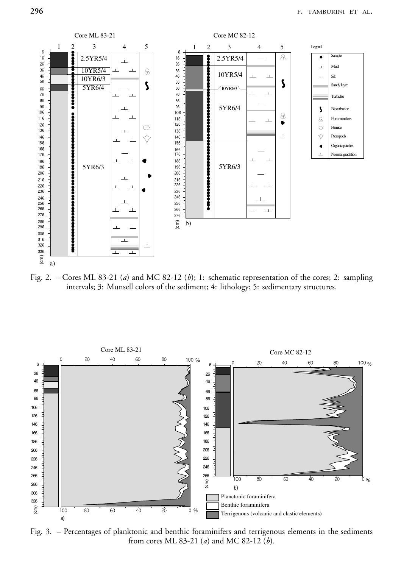

Fig. 2. – Cores ML 83-21 (a) and MC 82-12 (b); 1: schematic representation of the cores; 2: sampling intervals; 3: Munsell colors of the sediment; 4: lithology; 5: sedimentary structures.



Fig. 3. – Percentages of planktonic and benthic foraminifers and terrigenous elements in the sediments from cores ML 83-21 (a) and MC 82-12 (b).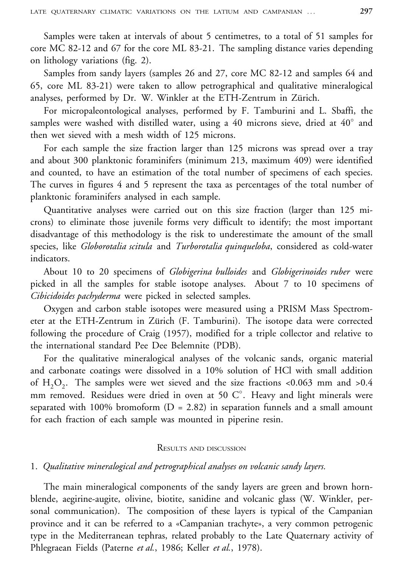Samples were taken at intervals of about 5 centimetres, to a total of 51 samples for core MC 82-12 and 67 for the core ML 83-21. The sampling distance varies depending on lithology variations (fig. 2).

Samples from sandy layers (samples 26 and 27, core MC 82-12 and samples 64 and 65, core ML 83-21) were taken to allow petrographical and qualitative mineralogical analyses, performed by Dr. W. Winkler at the ETH-Zentrum in Zürich.

For micropaleontological analyses, performed by F. Tamburini and L. Sbaffi, the samples were washed with distilled water, using a 40 microns sieve, dried at 40 $^{\circ}$  and then wet sieved with a mesh width of 125 microns.

For each sample the size fraction larger than 125 microns was spread over a tray and about 300 planktonic foraminifers (minimum 213, maximum 409) were identified and counted, to have an estimation of the total number of specimens of each species. The curves in figures 4 and 5 represent the taxa as percentages of the total number of planktonic foraminifers analysed in each sample.

Quantitative analyses were carried out on this size fraction (larger than 125 microns) to eliminate those juvenile forms very difficult to identify; the most important disadvantage of this methodology is the risk to underestimate the amount of the small species, like *Globorotalia scitula* and *Turborotalia quinqueloba*, considered as cold-water indicators.

About 10 to 20 specimens of *Globigerina bulloides* and *Globigerinoides ruber* were picked in all the samples for stable isotope analyses. About 7 to 10 specimens of *Cibicidoides pachyderma* were picked in selected samples.

Oxygen and carbon stable isotopes were measured using a PRISM Mass Spectrometer at the ETH-Zentrum in Zürich (F. Tamburini). The isotope data were corrected following the procedure of Craig (1957), modified for a triple collector and relative to the international standard Pee Dee Belemnite (PDB).

For the qualitative mineralogical analyses of the volcanic sands, organic material and carbonate coatings were dissolved in a 10% solution of HCl with small addition of  $H<sub>2</sub>O<sub>2</sub>$ . The samples were wet sieved and the size fractions <0.063 mm and >0.4 mm removed. Residues were dried in oven at 50 C◦ . Heavy and light minerals were separated with 100% bromoform  $(D = 2.82)$  in separation funnels and a small amount for each fraction of each sample was mounted in piperine resin.

### Results and discussion

# 1. *Qualitative mineralogical and petrographical analyses on volcanic sandy layers.*

The main mineralogical components of the sandy layers are green and brown hornblende, aegirine-augite, olivine, biotite, sanidine and volcanic glass (W. Winkler, personal communication). The composition of these layers is typical of the Campanian province and it can be referred to a «Campanian trachyte», a very common petrogenic type in the Mediterranean tephras, related probably to the Late Quaternary activity of Phlegraean Fields (Paterne *et al.*, 1986; Keller *et al.*, 1978).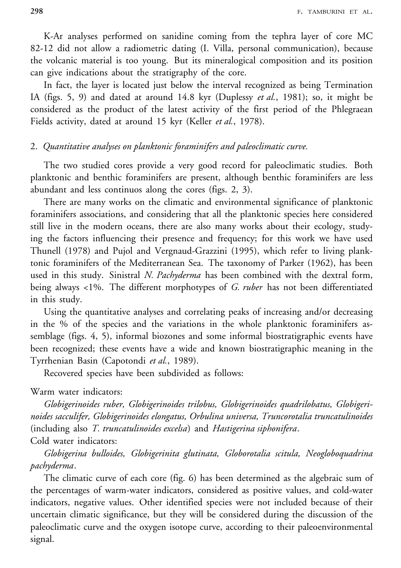K-Ar analyses performed on sanidine coming from the tephra layer of core MC 82-12 did not allow a radiometric dating (I. Villa, personal communication), because the volcanic material is too young. But its mineralogical composition and its position can give indications about the stratigraphy of the core.

In fact, the layer is located just below the interval recognized as being Termination IA (figs. 5, 9) and dated at around 14.8 kyr (Duplessy *et al.*, 1981); so, it might be considered as the product of the latest activity of the first period of the Phlegraean Fields activity, dated at around 15 kyr (Keller *et al.*, 1978).

# 2. *Quantitative analyses on planktonic foraminifers and paleoclimatic curve.*

The two studied cores provide a very good record for paleoclimatic studies. Both planktonic and benthic foraminifers are present, although benthic foraminifers are less abundant and less continuos along the cores (figs. 2, 3).

There are many works on the climatic and environmental significance of planktonic foraminifers associations, and considering that all the planktonic species here considered still live in the modern oceans, there are also many works about their ecology, studying the factors influencing their presence and frequency; for this work we have used Thunell (1978) and Pujol and Vergnaud-Grazzini (1995), which refer to living planktonic foraminifers of the Mediterranean Sea. The taxonomy of Parker (1962), has been used in this study. Sinistral *N. Pachyderma* has been combined with the dextral form, being always <1%. The different morphotypes of *G. ruber* has not been differentiated in this study.

Using the quantitative analyses and correlating peaks of increasing and/or decreasing in the % of the species and the variations in the whole planktonic foraminifers assemblage (figs. 4, 5), informal biozones and some informal biostratigraphic events have been recognized; these events have a wide and known biostratigraphic meaning in the Tyrrhenian Basin (Capotondi *et al.*, 1989).

Recovered species have been subdivided as follows:

### Warm water indicators:

*Globigerinoides ruber, Globigerinoides trilobus, Globigerinoides quadrilobatus, Globigerinoides sacculifer, Globigerinoides elongatus, Orbulina universa, Truncorotalia truncatulinoides* (including also *T. truncatulinoides excelsa*) and *Hastigerina siphonifera*.

# Cold water indicators:

*Globigerina bulloides, Globigerinita glutinata, Globorotalia scitula, Neogloboquadrina pachyderma*.

The climatic curve of each core (fig. 6) has been determined as the algebraic sum of the percentages of warm-water indicators, considered as positive values, and cold-water indicators, negative values. Other identified species were not included because of their uncertain climatic significance, but they will be considered during the discussion of the paleoclimatic curve and the oxygen isotope curve, according to their paleoenvironmental signal.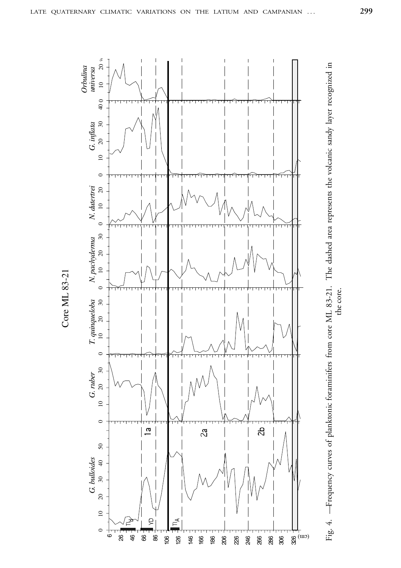

Core ML 83-21

Core ML 83-21

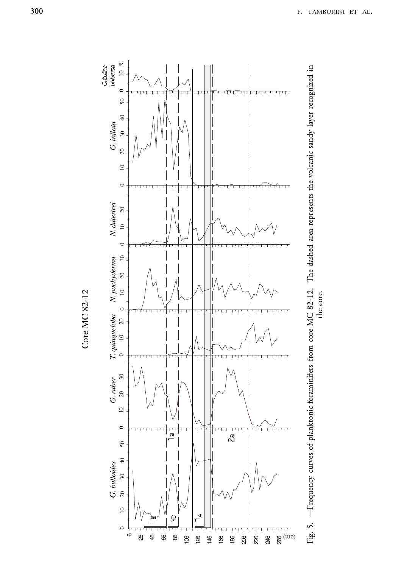

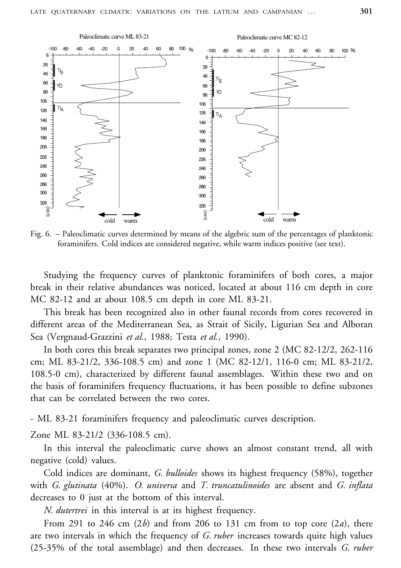

Fig. 6. – Paleoclimatic curves determined by means of the algebric sum of the percentages of planktonic foraminifers. Cold indices are considered negative, while warm indices positive (see text).

Studying the frequency curves of planktonic foraminifers of both cores, a major break in their relative abundances was noticed, located at about 116 cm depth in core MC 82-12 and at about 108.5 cm depth in core ML 83-21.

This break has been recognized also in other faunal records from cores recovered in different areas of the Mediterranean Sea, as Strait of Sicily, Ligurian Sea and Alboran Sea (Vergnaud-Grazzini *et al.*, 1988; Testa *et al.*, 1990).

In both cores this break separates two principal zones, zone 2 (MC 82-12/2, 262-116 cm; ML 83-21/2, 336-108.5 cm) and zone 1 (MC 82-12/1, 116-0 cm; ML 83-21/2, 108.5-0 cm), characterized by different faunal assemblages. Within these two and on the basis of foraminifers frequency fluctuations, it has been possible to define subzones that can be correlated between the two cores.

- ML 83-21 foraminifers frequency and paleoclimatic curves description.

Zone ML 83-21/2 (336-108.5 cm).

In this interval the paleoclimatic curve shows an almost constant trend, all with negative (cold) values.

Cold indices are dominant, *G. bulloides* shows its highest frequency (58%), together with *G. glutinata* (40%). *O. universa* and *T. truncatulinoides* are absent and *G. inflata* decreases to 0 just at the bottom of this interval.

*N. dutertrei* in this interval is at its highest frequency.

From 291 to 246 cm  $(2b)$  and from 206 to 131 cm from to top core  $(2a)$ , there are two intervals in which the frequency of *G. ruber* increases towards quite high values (25-35% of the total assemblage) and then decreases. In these two intervals *G. ruber*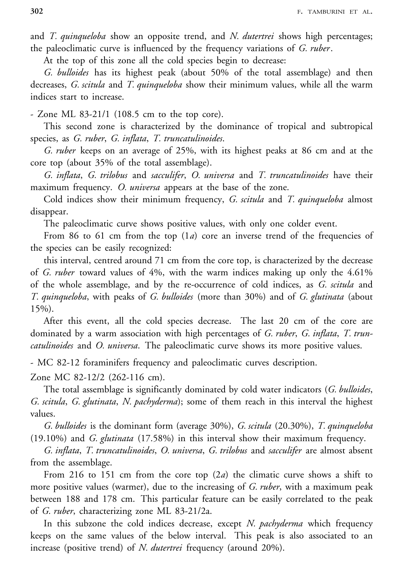and *T. quinqueloba* show an opposite trend, and *N. dutertrei* shows high percentages; the paleoclimatic curve is influenced by the frequency variations of *G. ruber*.

At the top of this zone all the cold species begin to decrease:

*G. bulloides* has its highest peak (about 50% of the total assemblage) and then decreases, *G. scitula* and *T. quinqueloba* show their minimum values, while all the warm indices start to increase.

- Zone ML 83-21/1 (108.5 cm to the top core).

This second zone is characterized by the dominance of tropical and subtropical species, as *G. ruber*, *G. inflata*, *T. truncatulinoides*.

*G. ruber* keeps on an average of 25%, with its highest peaks at 86 cm and at the core top (about 35% of the total assemblage).

*G. inflata*, *G. trilobus* and *sacculifer*, *O. universa* and *T. truncatulinoides* have their maximum frequency. *O. universa* appears at the base of the zone.

Cold indices show their minimum frequency, *G. scitula* and *T. quinqueloba* almost disappear.

The paleoclimatic curve shows positive values, with only one colder event.

From 86 to 61 cm from the top (1a) core an inverse trend of the frequencies of the species can be easily recognized:

this interval, centred around 71 cm from the core top, is characterized by the decrease of *G. ruber* toward values of 4%, with the warm indices making up only the 4.61% of the whole assemblage, and by the re-occurrence of cold indices, as *G. scitula* and *T. quinqueloba*, with peaks of *G. bulloides* (more than 30%) and of *G. glutinata* (about 15%).

After this event, all the cold species decrease. The last 20 cm of the core are dominated by a warm association with high percentages of *G. ruber*, *G. inflata*, *T. truncatulinoides* and *O. universa*. The paleoclimatic curve shows its more positive values.

- MC 82-12 foraminifers frequency and paleoclimatic curves description.

Zone MC 82-12/2 (262-116 cm).

The total assemblage is significantly dominated by cold water indicators (*G. bulloides*, *G. scitula*, *G. glutinata*, *N. pachyderma*); some of them reach in this interval the highest values.

*G. bulloides* is the dominant form (average 30%), *G. scitula* (20.30%), *T. quinqueloba* (19.10%) and *G. glutinata* (17.58%) in this interval show their maximum frequency.

*G. inflata*, *T. truncatulinoides*, *O. universa*, *G. trilobus* and *sacculifer* are almost absent from the assemblage.

From 216 to 151 cm from the core top  $(2a)$  the climatic curve shows a shift to more positive values (warmer), due to the increasing of *G. ruber*, with a maximum peak between 188 and 178 cm. This particular feature can be easily correlated to the peak of *G. ruber*, characterizing zone ML 83-21/2a.

In this subzone the cold indices decrease, except *N. pachyderma* which frequency keeps on the same values of the below interval. This peak is also associated to an increase (positive trend) of *N. dutertrei* frequency (around 20%).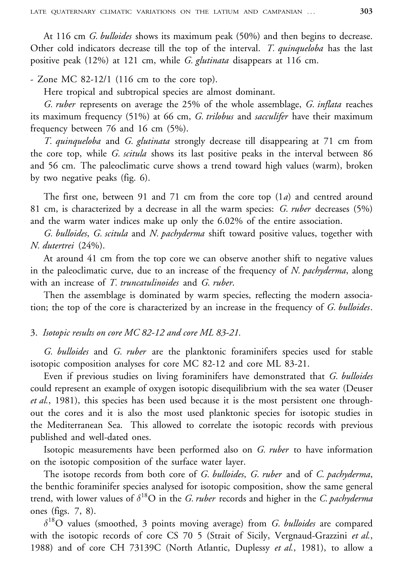At 116 cm *G. bulloides* shows its maximum peak (50%) and then begins to decrease. Other cold indicators decrease till the top of the interval. *T. quinqueloba* has the last positive peak (12%) at 121 cm, while *G. glutinata* disappears at 116 cm.

- Zone MC 82-12/1 (116 cm to the core top).

Here tropical and subtropical species are almost dominant.

*G. ruber* represents on average the 25% of the whole assemblage, *G. inflata* reaches its maximum frequency (51%) at 66 cm, *G. trilobus* and *sacculifer* have their maximum frequency between 76 and 16 cm (5%).

*T. quinqueloba* and *G. glutinata* strongly decrease till disappearing at 71 cm from the core top, while *G. scitula* shows its last positive peaks in the interval between 86 and 56 cm. The paleoclimatic curve shows a trend toward high values (warm), broken by two negative peaks (fig. 6).

The first one, between 91 and 71 cm from the core top  $(1a)$  and centred around 81 cm, is characterized by a decrease in all the warm species: *G. ruber* decreases (5%) and the warm water indices make up only the 6.02% of the entire association.

*G. bulloides*, *G. scitula* and *N. pachyderma* shift toward positive values, together with *N. dutertrei* (24%).

At around 41 cm from the top core we can observe another shift to negative values in the paleoclimatic curve, due to an increase of the frequency of *N. pachyderma*, along with an increase of *T. truncatulinoides* and *G. ruber*.

Then the assemblage is dominated by warm species, reflecting the modern association; the top of the core is characterized by an increase in the frequency of *G. bulloides*.

3. *Isotopic results on core MC 82-12 and core ML 83-21.*

*G. bulloides* and *G. ruber* are the planktonic foraminifers species used for stable isotopic composition analyses for core MC 82-12 and core ML 83-21.

Even if previous studies on living foraminifers have demonstrated that *G. bulloides* could represent an example of oxygen isotopic disequilibrium with the sea water (Deuser *et al.*, 1981), this species has been used because it is the most persistent one throughout the cores and it is also the most used planktonic species for isotopic studies in the Mediterranean Sea. This allowed to correlate the isotopic records with previous published and well-dated ones.

Isotopic measurements have been performed also on *G. ruber* to have information on the isotopic composition of the surface water layer.

The isotope records from both core of *G. bulloides*, *G. ruber* and of *C. pachyderma*, the benthic foraminifer species analysed for isotopic composition, show the same general trend, with lower values of  $\delta^{18}O$  in the *G. ruber* records and higher in the *C. pachyderma* ones (figs. 7, 8).

δ18O values (smoothed, 3 points moving average) from *G. bulloides* are compared with the isotopic records of core CS 70 5 (Strait of Sicily, Vergnaud-Grazzini *et al.*, 1988) and of core CH 73139C (North Atlantic, Duplessy *et al.*, 1981), to allow a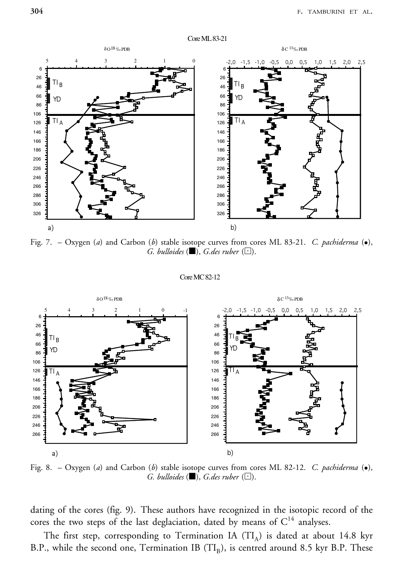

Fig. 7. – Oxygen (a) and Carbon (b) stable isotope curves from cores ML 83-21. *C. pachiderma* (•), *G. bulloides* ( $\blacksquare$ ), *G.des ruber* ( $\boxdot$ ).





Fig. 8. – Oxygen (a) and Carbon (b) stable isotope curves from cores ML 82-12. *C. pachiderma* (•), *G. bulloides* ( $\blacksquare$ ), *G.des ruber* ( $\boxdot$ ).

dating of the cores (fig. 9). These authors have recognized in the isotopic record of the cores the two steps of the last deglaciation, dated by means of  $C^{14}$  analyses.

The first step, corresponding to Termination IA  $(TI_A)$  is dated at about 14.8 kyr B.P., while the second one, Termination IB  $(TI_B)$ , is centred around 8.5 kyr B.P. These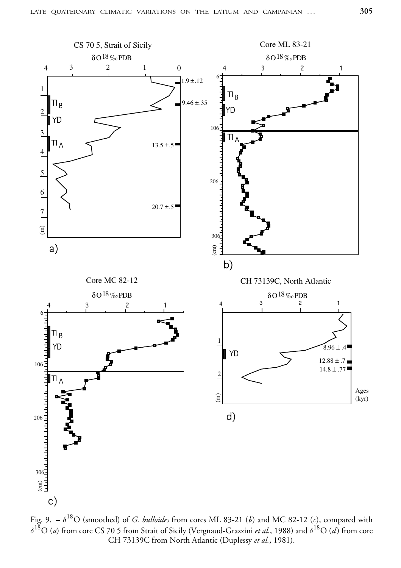

Fig. 9.  $-\delta^{18}O$  (smoothed) of *G. bulloides* from cores ML 83-21 (b) and MC 82-12 (c), compared with  $\delta^{18}O$  (a) from core CS 70 5 from Strait of Sicily (Vergnaud-Grazzini *et al.*, 1988) and  $\delta^{18}O$  (d) from core CH 73139C from North Atlantic (Duplessy *et al.*, 1981).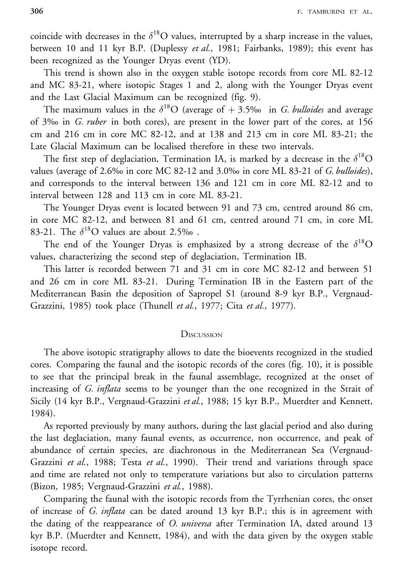coincide with decreases in the  $\delta^{18}O$  values, interrupted by a sharp increase in the values, between 10 and 11 kyr B.P. (Duplessy *et al.*, 1981; Fairbanks, 1989); this event has been recognized as the Younger Dryas event (YD).

This trend is shown also in the oxygen stable isotope records from core ML 82-12 and MC 83-21, where isotopic Stages 1 and 2, along with the Younger Dryas event and the Last Glacial Maximum can be recognized (fig. 9).

The maximum values in the  $\delta^{18}O$  (average of  $+3.5\%$  in *G. bulloides* and average of 3‰ in *G. ruber* in both cores), are present in the lower part of the cores, at 156 cm and 216 cm in core MC 82-12, and at 138 and 213 cm in core ML 83-21; the Late Glacial Maximum can be localised therefore in these two intervals.

The first step of deglaciation, Termination IA, is marked by a decrease in the  $\delta^{18}O$ values (average of 2.6‰ in core MC 82-12 and 3.0‰ in core ML 83-21 of *G. bulloides*), and corresponds to the interval between 136 and 121 cm in core ML 82-12 and to interval between 128 and 113 cm in core ML 83-21.

The Younger Dryas event is located between 91 and 73 cm, centred around 86 cm, in core MC 82-12, and between 81 and 61 cm, centred around 71 cm, in core ML 83-21. The  $\delta^{18}O$  values are about 2.5‰.

The end of the Younger Dryas is emphasized by a strong decrease of the  $\delta^{18}O$ values, characterizing the second step of deglaciation, Termination IB.

This latter is recorded between 71 and 31 cm in core MC 82-12 and between 51 and 26 cm in core ML 83-21. During Termination IB in the Eastern part of the Mediterranean Basin the deposition of Sapropel S1 (around 8-9 kyr B.P., Vergnaud-Grazzini, 1985) took place (Thunell *et al.*, 1977; Cita *et al.*, 1977).

### **D**iscussion

The above isotopic stratigraphy allows to date the bioevents recognized in the studied cores. Comparing the faunal and the isotopic records of the cores (fig. 10), it is possible to see that the principal break in the faunal assemblage, recognized at the onset of increasing of *G. inflata* seems to be younger than the one recognized in the Strait of Sicily (14 kyr B.P., Vergnaud-Grazzini *et al.*, 1988; 15 kyr B.P., Muerdter and Kennett, 1984).

As reported previously by many authors, during the last glacial period and also during the last deglaciation, many faunal events, as occurrence, non occurrence, and peak of abundance of certain species, are diachronous in the Mediterranean Sea (Vergnaud-Grazzini *et al.*, 1988; Testa *et al.*, 1990). Their trend and variations through space and time are related not only to temperature variations but also to circulation patterns (Bizon, 1985; Vergnaud-Grazzini *et al.*, 1988).

Comparing the faunal with the isotopic records from the Tyrrhenian cores, the onset of increase of *G. inflata* can be dated around 13 kyr B.P.; this is in agreement with the dating of the reappearance of *O. universa* after Termination IA, dated around 13 kyr B.P. (Muerdter and Kennett, 1984), and with the data given by the oxygen stable isotope record.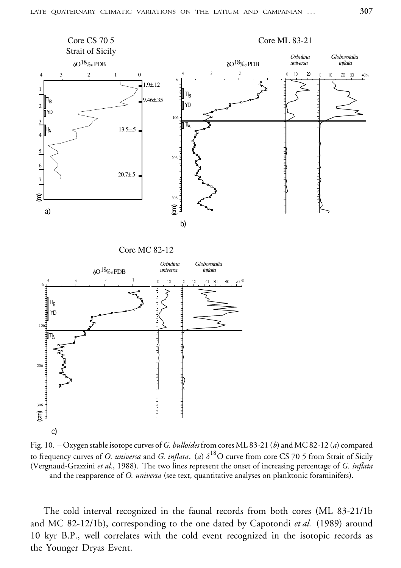



b)

 $\widehat{\epsilon}$ 

 $a)$ 



Fig. 10. – Oxygen stable isotope curves of *G. bulloides* from cores ML 83-21 (b) and MC 82-12 (a) compared to frequency curves of *O. universa* and *G. inflata.* (a) δ<sup>18</sup>O curve from core CS 70 5 from Strait of Sicily (Vergnaud-Grazzini *et al.*, 1988). The two lines represent the onset of increasing percentage of *G. inflata* and the reapparence of *O. universa* (see text, quantitative analyses on planktonic foraminifers).

The cold interval recognized in the faunal records from both cores (ML 83-21/1b and MC 82-12/1b), corresponding to the one dated by Capotondi *et al.* (1989) around 10 kyr B.P., well correlates with the cold event recognized in the isotopic records as the Younger Dryas Event.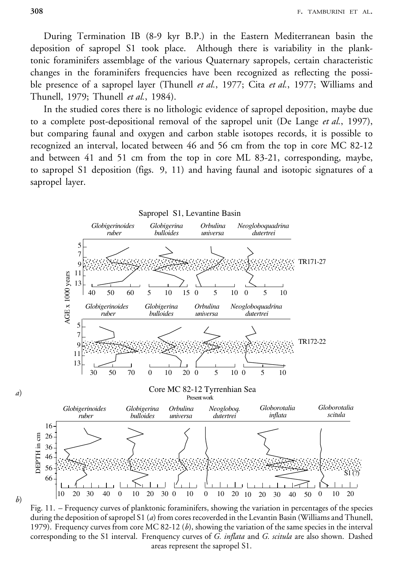During Termination IB (8-9 kyr B.P.) in the Eastern Mediterranean basin the deposition of sapropel S1 took place. Although there is variability in the planktonic foraminifers assemblage of the various Quaternary sapropels, certain characteristic changes in the foraminifers frequencies have been recognized as reflecting the possible presence of a sapropel layer (Thunell *et al.*, 1977; Cita *et al.*, 1977; Williams and Thunell, 1979; Thunell *et al.*, 1984).

In the studied cores there is no lithologic evidence of sapropel deposition, maybe due to a complete post-depositional removal of the sapropel unit (De Lange *et al.*, 1997), but comparing faunal and oxygen and carbon stable isotopes records, it is possible to recognized an interval, located between 46 and 56 cm from the top in core MC 82-12 and between 41 and 51 cm from the top in core ML 83-21, corresponding, maybe, to sapropel S1 deposition (figs. 9, 11) and having faunal and isotopic signatures of a sapropel layer.



Fig. 11. – Frequency curves of planktonic foraminifers, showing the variation in percentages of the species during the deposition of sapropel S1 (a) from cores recoverded in the Levantin Basin (Williams and Thunell, 1979). Frequency curves from core MC 82-12  $(b)$ , showing the variation of the same species in the interval corresponding to the S1 interval. Frenquency curves of *G. inflata* and *G. scitula* are also shown. Dashed areas represent the sapropel S1.

a)

b)

DEPTH in cm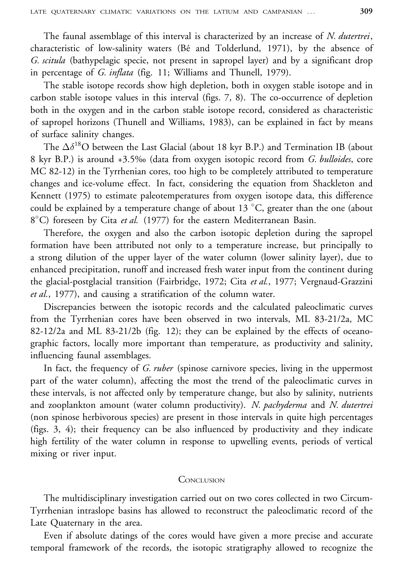The faunal assemblage of this interval is characterized by an increase of *N. dutertrei*, characteristic of low-salinity waters (Bé and Tolderlund,  $1971$ ), by the absence of *G. scitula* (bathypelagic specie, not present in sapropel layer) and by a significant drop in percentage of *G. inflata* (fig. 11; Williams and Thunell, 1979).

The stable isotope records show high depletion, both in oxygen stable isotope and in carbon stable isotope values in this interval (figs. 7, 8). The co-occurrence of depletion both in the oxygen and in the carbon stable isotope record, considered as characteristic of sapropel horizons (Thunell and Williams, 1983), can be explained in fact by means of surface salinity changes.

The  $\Delta \delta^{18}O$  between the Last Glacial (about 18 kyr B.P.) and Termination IB (about 8 kyr B.P.) is around +3.5‰ (data from oxygen isotopic record from *G. bulloides*, core MC 82-12) in the Tyrrhenian cores, too high to be completely attributed to temperature changes and ice-volume effect. In fact, considering the equation from Shackleton and Kennett (1975) to estimate paleotemperatures from oxygen isotope data, this difference could be explained by a temperature change of about 13 ◦ C, greater than the one (about 8◦ C) foreseen by Cita *et al.* (1977) for the eastern Mediterranean Basin.

Therefore, the oxygen and also the carbon isotopic depletion during the sapropel formation have been attributed not only to a temperature increase, but principally to a strong dilution of the upper layer of the water column (lower salinity layer), due to enhanced precipitation, runoff and increased fresh water input from the continent during the glacial-postglacial transition (Fairbridge, 1972; Cita *et al.*, 1977; Vergnaud-Grazzini *et al.*, 1977), and causing a stratification of the column water.

Discrepancies between the isotopic records and the calculated paleoclimatic curves from the Tyrrhenian cores have been observed in two intervals, ML 83-21/2a, MC 82-12/2a and ML 83-21/2b (fig. 12); they can be explained by the effects of oceanographic factors, locally more important than temperature, as productivity and salinity, influencing faunal assemblages.

In fact, the frequency of *G. ruber* (spinose carnivore species, living in the uppermost part of the water column), affecting the most the trend of the paleoclimatic curves in these intervals, is not affected only by temperature change, but also by salinity, nutrients and zooplankton amount (water column productivity). *N. pachyderma* and *N. dutertrei* (non spinose herbivorous species) are present in those intervals in quite high percentages (figs. 3, 4); their frequency can be also influenced by productivity and they indicate high fertility of the water column in response to upwelling events, periods of vertical mixing or river input.

#### **CONCLUSION**

The multidisciplinary investigation carried out on two cores collected in two Circum-Tyrrhenian intraslope basins has allowed to reconstruct the paleoclimatic record of the Late Quaternary in the area.

Even if absolute datings of the cores would have given a more precise and accurate temporal framework of the records, the isotopic stratigraphy allowed to recognize the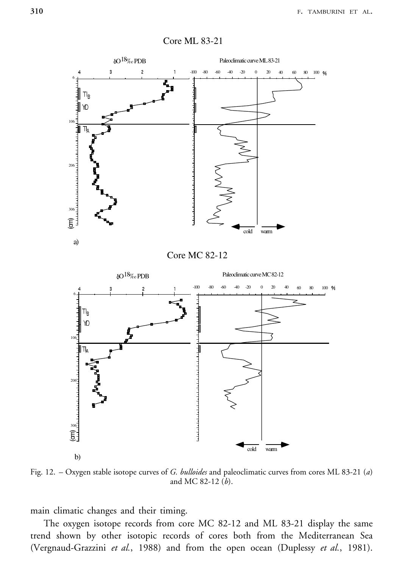

Core ML 83-21

Fig. 12. – Oxygen stable isotope curves of *G. bulloides* and paleoclimatic curves from cores ML 83-21 (a) and MC 82-12 (b).

main climatic changes and their timing.

The oxygen isotope records from core MC 82-12 and ML 83-21 display the same trend shown by other isotopic records of cores both from the Mediterranean Sea (Vergnaud-Grazzini *et al.*, 1988) and from the open ocean (Duplessy *et al.*, 1981).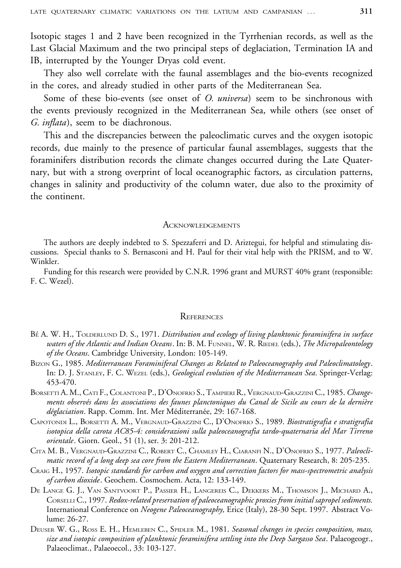Isotopic stages 1 and 2 have been recognized in the Tyrrhenian records, as well as the Last Glacial Maximum and the two principal steps of deglaciation, Termination IA and IB, interrupted by the Younger Dryas cold event.

They also well correlate with the faunal assemblages and the bio-events recognized in the cores, and already studied in other parts of the Mediterranean Sea.

Some of these bio-events (see onset of *O. universa*) seem to be sinchronous with the events previously recognized in the Mediterranean Sea, while others (see onset of *G. inflata*), seem to be diachronous.

This and the discrepancies between the paleoclimatic curves and the oxygen isotopic records, due mainly to the presence of particular faunal assemblages, suggests that the foraminifers distribution records the climate changes occurred during the Late Quaternary, but with a strong overprint of local oceanographic factors, as circulation patterns, changes in salinity and productivity of the column water, due also to the proximity of the continent.

#### ACKNOWLEDGEMENTS

The authors are deeply indebted to S. Spezzaferri and D. Ariztegui, for helpful and stimulating discussions. Special thanks to S. Bernasconi and H. Paul for their vital help with the PRISM, and to W. Winkler.

Funding for this research were provided by C.N.R. 1996 grant and MURST 40% grant (responsible: F. C. Wezel).

#### **REFERENCES**

- Bé A. W. H., TOLDERLUND D. S., 1971. *Distribution and ecology of living planktonic foraminifera in surface waters of the Atlantic and Indian Oceans*. In: B. M. Funnel, W. R. Riedel (eds.), *The Micropaleontology of the Oceans*. Cambridge University, London: 105-149.
- Bizon G., 1985. *Mediterranean Foraminiferal Changes as Related to Paleoceanography and Paleoclimatology*. In: D. J. Stanley, F. C. Wezel (eds.), *Geological evolution of the Mediterranean Sea*. Springer-Verlag: 453-470.
- Borsetti A. M., Cati F., Colantoni P., D'Onofrio S., Tampieri R., Vergnaud-Grazzini C., 1985. *Changements observ´es dans les associations des faunes planctoniques du Canal de Sicile au cours de la derni`ere* déglaciation. Rapp. Comm. Int. Mer Méditerranée, 29: 167-168.
- Capotondi L., Borsetti A. M., Vergnaud-Grazzini C., D'Onofrio S., 1989. *Biostratigrafia e stratigrafia isotopica della carota AC85-4: considerazioni sulla paleoceanografia tardo-quaternaria del Mar Tirreno orientale*. Giorn. Geol., 51 (1), ser. 3: 201-212.
- Cita M. B., Vergnaud-Grazzini C., Robert C., Chamley H., Ciaranfi N., D'Onofrio S., 1977. *Paleoclimatic record of a long deep sea core from the Eastern Mediterranean*. Quaternary Research, 8: 205-235.
- Craig H., 1957. *Isotopic standards for carbon and oxygen and correction factors for mass-spectrometric analysis of carbon dioxide*. Geochem. Cosmochem. Acta, 12: 133-149.
- De Lange G. J., Van Santvoort P., Passier H., Langereis C., Dekkers M., Thomson J., Michard A., Corselli C., 1997. *Redox-related preservation of paleoceanographic proxies from initial sapropel sediments.* International Conference on *Neogene Paleoceanography,* Erice (Italy), 28-30 Sept. 1997. Abstract Volume: 26-27.
- Deuser W. G., Ross E. H., Hemleben C., Spidler M., 1981. *Seasonal changes in species composition, mass, size and isotopic composition of planktonic foraminifera settling into the Deep Sargasso Sea*. Palaeogeogr., Palaeoclimat., Palaeoecol., 33: 103-127.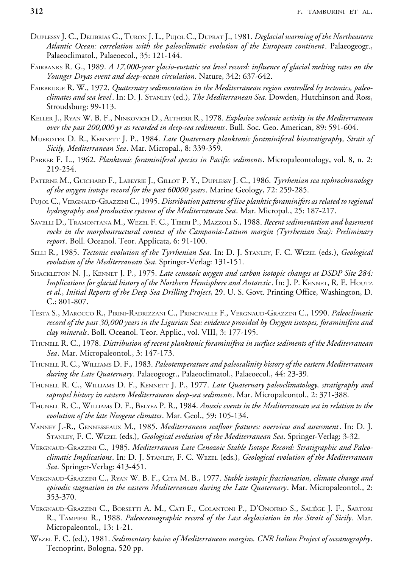- Duplessy J. C., Delibrias G., Turon J. L., Pujol C., Duprat J., 1981. *Deglacial warming of the Northeastern Atlantic Ocean: correlation with the paleoclimatic evolution of the European continent*. Palaeogeogr., Palaeoclimatol., Palaeoecol., 35: 121-144.
- Fairbanks R. G., 1989. *A 17,000-year glacio-eustatic sea level record: influence of glacial melting rates on the Younger Dryas event and deep-ocean circulation*. Nature, 342: 637-642.
- FAIRBRIDGE R. W., 1972. *Quaternary sedimentation in the Mediterranean region controlled by tectonics, paleoclimates and sea level* . In: D. J. Stanley (ed.), *The Mediterranean Sea*. Dowden, Hutchinson and Ross, Stroudsburg: 99-113.
- Keller J., Ryan W. B. F., Ninkovich D., Altherr R., 1978. *Explosive volcanic activity in the Mediterranean over the past 200,000 yr as recorded in deep-sea sediments*. Bull. Soc. Geo. American, 89: 591-604.
- Muerdter D. R., Kennett J. P., 1984. *Late Quaternary planktonic foraminiferal biostratigraphy, Strait of Sicily, Mediterranean Sea*. Mar. Micropal., 8: 339-359.
- Parker F. L., 1962. *Planktonic foraminiferal species in Pacific sediments*. Micropaleontology, vol. 8, n. 2: 219-254.
- Paterne M., Guichard F., Labeyrie J., Gillot P. Y., Duplessy J. C., 1986. *Tyrrhenian sea tephrochronology of the oxygen isotope record for the past 60000 years*. Marine Geology, 72: 259-285.
- Pujol C., Vergnaud-Grazzini C., 1995. *Distribution patterns of live planktic foraminifers as related to regional hydrography and productive systems of the Mediterranean Sea*. Mar. Micropal., 25: 187-217.
- Savelli D., Tramontana M., Wezel F. C., Tiberi P., Mazzoli S., 1988. *Recent sedimentation and basement rocks in the morphostructural context of the Campania-Latium margin (Tyrrhenian Sea): Preliminary report*. Boll. Oceanol. Teor. Applicata, 6: 91-100.
- Selli R., 1985. *Tectonic evolution of the Tyrrhenian Sea*. In: D. J. Stanley, F. C. Wezel (eds.), *Geological evolution of the Mediterranean Sea*. Springer-Verlag: 131-151.
- Shackleton N. J., Kennet J. P., 1975. *Late cenozoic oxygen and carbon isotopic changes at DSDP Site 284: Implications for glacial history of the Northern Hemisphere and Antarctic*. In: J. P. KENNET, R. E. HOUTZ *et al.*, *Initial Reports of the Deep Sea Drilling Project*, 29. U. S. Govt. Printing Office, Washington, D. C.: 801-807.
- Testa S., Marocco R., Pirini-Radrizzani C., Princivalle F., Vergnaud-Grazzini C., 1990. *Paleoclimatic record of the past 30,000 years in the Ligurian Sea: evidence provided by Oxygen isotopes, foraminifera and clay minerals*. Boll. Oceanol. Teor. Applic., vol. VIII, 3: 177-195.
- Thunell R. C., 1978. *Distribution of recent planktonic foraminifera in surface sediments of the Mediterranean Sea*. Mar. Micropaleontol., 3: 147-173.
- Thunell R. C., Williams D. F., 1983. *Paleotemperature and paleosalinity history of the eastern Mediterranean during the Late Quaternary*. Palaeogeogr., Palaeoclimatol., Palaeoecol., 44: 23-39.
- Thunell R. C., Williams D. F., Kennett J. P., 1977. *Late Quaternary paleoclimatology, stratigraphy and sapropel history in eastern Mediterranean deep-sea sediments*. Mar. Micropaleontol., 2: 371-388.
- Thunell R. C., Williams D. F., Belyea P. R., 1984. *Anoxic events in the Mediterranean sea in relation to the evolution of the late Neogene climates*. Mar. Geol., 59: 105-134.
- Vanney J.-R., Gennesseaux M., 1985. *Mediterranean seafloor features: overview and assessment*. In: D. J. Stanley, F. C. Wezel (eds.), *Geological evolution of the Mediterranean Sea*. Springer-Verlag: 3-32.
- Vergnaud-Grazzini C., 1985. *Mediterranean Late Cenozoic Stable Isotope Record: Stratigraphic and Paleoclimatic Implications*. In: D. J. Stanley, F. C. Wezel (eds.), *Geological evolution of the Mediterranean Sea*. Springer-Verlag: 413-451.
- Vergnaud-Grazzini C., Ryan W. B. F., Cita M. B., 1977. *Stable isotopic fractionation, climate change and episodic stagnation in the eastern Mediterranean during the Late Quaternary*. Mar. Micropaleontol., 2: 353-370.
- Vergnaud-Grazzini C., Borsetti A. M., Cati F., Colantoni P., D'Onofrio S., Saliege J. F., Sartori ` R., Tampieri R., 1988. *Paleoceanographic record of the Last deglaciation in the Strait of Sicily*. Mar. Micropaleontol., 13: 1-21.
- Wezel F. C. (ed.), 1981. *Sedimentary basins of Mediterranean margins. CNR Italian Project of oceanography*. Tecnoprint, Bologna, 520 pp.